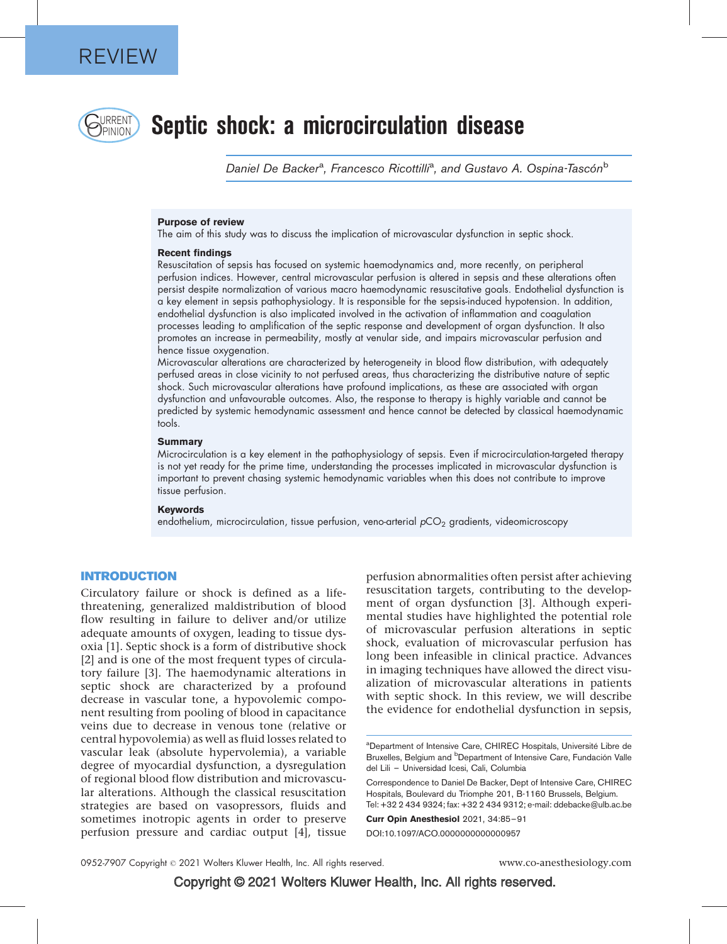

# **CRRENT** Septic shock: a microcirculation disease

Daniel De Backer<sup>a</sup>, Francesco Ricottilli<sup>a</sup>, and Gustavo A. Ospina-Tascón<sup>b</sup>

#### Purpose of review

The aim of this study was to discuss the implication of microvascular dysfunction in septic shock.

#### Recent findings

Resuscitation of sepsis has focused on systemic haemodynamics and, more recently, on peripheral perfusion indices. However, central microvascular perfusion is altered in sepsis and these alterations often persist despite normalization of various macro haemodynamic resuscitative goals. Endothelial dysfunction is a key element in sepsis pathophysiology. It is responsible for the sepsis-induced hypotension. In addition, endothelial dysfunction is also implicated involved in the activation of inflammation and coagulation processes leading to amplification of the septic response and development of organ dysfunction. It also promotes an increase in permeability, mostly at venular side, and impairs microvascular perfusion and hence tissue oxygenation.

Microvascular alterations are characterized by heterogeneity in blood flow distribution, with adequately perfused areas in close vicinity to not perfused areas, thus characterizing the distributive nature of septic shock. Such microvascular alterations have profound implications, as these are associated with organ dysfunction and unfavourable outcomes. Also, the response to therapy is highly variable and cannot be predicted by systemic hemodynamic assessment and hence cannot be detected by classical haemodynamic tools.

#### Summary

Microcirculation is a key element in the pathophysiology of sepsis. Even if microcirculation-targeted therapy is not yet ready for the prime time, understanding the processes implicated in microvascular dysfunction is important to prevent chasing systemic hemodynamic variables when this does not contribute to improve tissue perfusion.

#### Keywords

endothelium, microcirculation, tissue perfusion, veno-arterial  $pCO<sub>2</sub>$  gradients, videomicroscopy

## INTRODUCTION

Circulatory failure or shock is defined as a lifethreatening, generalized maldistribution of blood flow resulting in failure to deliver and/or utilize adequate amounts of oxygen, leading to tissue dysoxia [\[1\].](#page-5-0) Septic shock is a form of distributive shock [\[2\]](#page-5-0) and is one of the most frequent types of circulatory failure [\[3\].](#page-5-0) The haemodynamic alterations in septic shock are characterized by a profound decrease in vascular tone, a hypovolemic component resulting from pooling of blood in capacitance veins due to decrease in venous tone (relative or central hypovolemia) as well as fluid losses related to vascular leak (absolute hypervolemia), a variable degree of myocardial dysfunction, a dysregulation of regional blood flow distribution and microvascular alterations. Although the classical resuscitation strategies are based on vasopressors, fluids and sometimes inotropic agents in order to preserve perfusion pressure and cardiac output [\[4\]](#page-5-0), tissue

perfusion abnormalities often persist after achieving resuscitation targets, contributing to the development of organ dysfunction [\[3\].](#page-5-0) Although experimental studies have highlighted the potential role of microvascular perfusion alterations in septic shock, evaluation of microvascular perfusion has long been infeasible in clinical practice. Advances in imaging techniques have allowed the direct visualization of microvascular alterations in patients with septic shock. In this review, we will describe the evidence for endothelial dysfunction in sepsis,

Curr Opin Anesthesiol 2021, 34:85–91

DOI:10.1097/ACO.0000000000000957

<sup>&</sup>lt;sup>a</sup>Department of Intensive Care, CHIREC Hospitals, Université Libre de Bruxelles, Belgium and <sup>b</sup>Department of Intensive Care, Fundación Valle del Lili – Universidad Icesi, Cali, Columbia

Correspondence to Daniel De Backer, Dept of Intensive Care, CHIREC Hospitals, Boulevard du Triomphe 201, B-1160 Brussels, Belgium. Tel: +32 2 434 9324; fax: +32 2 434 9312; e-mail: [ddebacke@ulb.ac.be](mailto:ddebacke@ulb.ac.be)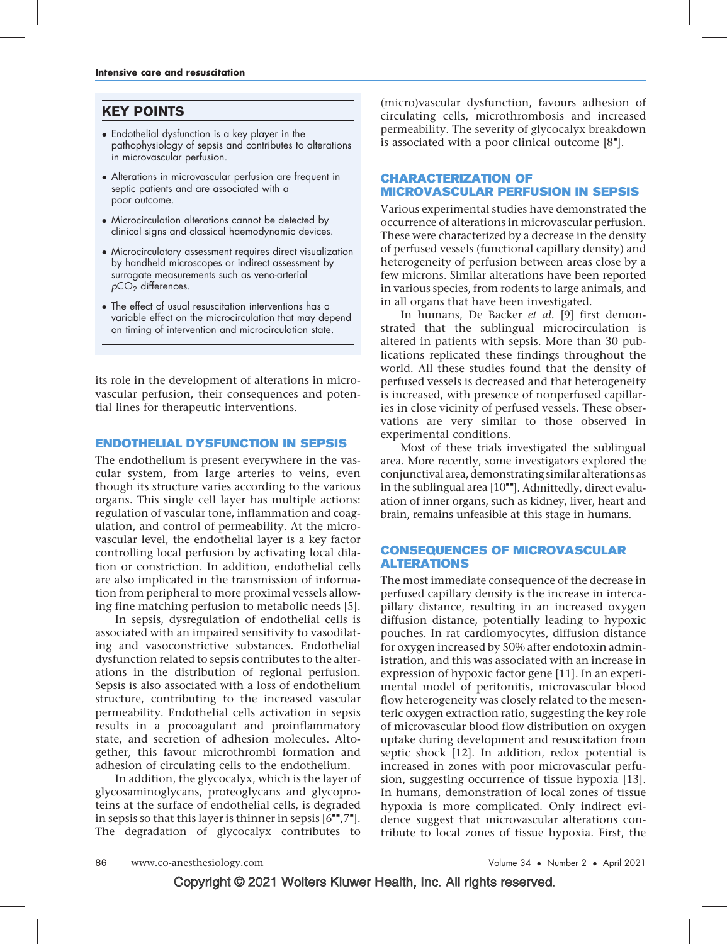## KEY POINTS

- Endothelial dysfunction is a key player in the pathophysiology of sepsis and contributes to alterations in microvascular perfusion.
- Alterations in microvascular perfusion are frequent in septic patients and are associated with a poor outcome.
- Microcirculation alterations cannot be detected by clinical signs and classical haemodynamic devices.
- Microcirculatory assessment requires direct visualization by handheld microscopes or indirect assessment by surrogate measurements such as veno-arterial  $pCO<sub>2</sub>$  differences.
- The effect of usual resuscitation interventions has a variable effect on the microcirculation that may depend on timing of intervention and microcirculation state.

its role in the development of alterations in microvascular perfusion, their consequences and potential lines for therapeutic interventions.

## ENDOTHELIAL DYSFUNCTION IN SEPSIS

The endothelium is present everywhere in the vascular system, from large arteries to veins, even though its structure varies according to the various organs. This single cell layer has multiple actions: regulation of vascular tone, inflammation and coagulation, and control of permeability. At the microvascular level, the endothelial layer is a key factor controlling local perfusion by activating local dilation or constriction. In addition, endothelial cells are also implicated in the transmission of information from peripheral to more proximal vessels allowing fine matching perfusion to metabolic needs [\[5\].](#page-5-0)

In sepsis, dysregulation of endothelial cells is associated with an impaired sensitivity to vasodilating and vasoconstrictive substances. Endothelial dysfunction related to sepsis contributes to the alterations in the distribution of regional perfusion. Sepsis is also associated with a loss of endothelium structure, contributing to the increased vascular permeability. Endothelial cells activation in sepsis results in a procoagulant and proinflammatory state, and secretion of adhesion molecules. Altogether, this favour microthrombi formation and adhesion of circulating cells to the endothelium.

In addition, the glycocalyx, which is the layer of glycosaminoglycans, proteoglycans and glycoproteins at the surface of endothelial cells, is degraded in sepsis so that this layer is thinner in sepsis  $[6^{\bullet\bullet},7^{\bullet}].$  $[6^{\bullet\bullet},7^{\bullet}].$  $[6^{\bullet\bullet},7^{\bullet}].$  $[6^{\bullet\bullet},7^{\bullet}].$  $[6^{\bullet\bullet},7^{\bullet}].$ The degradation of glycocalyx contributes to

(micro)vascular dysfunction, favours adhesion of circulating cells, microthrombosis and increased permeability. The severity of glycocalyx breakdown is associated with a poor clinical outcome  $[8<sup>*</sup>]$  $[8<sup>*</sup>]$  $[8<sup>*</sup>]$ .

## CHARACTERIZATION OF MICROVASCULAR PERFUSION IN SEPSIS

Various experimental studies have demonstrated the occurrence of alterations in microvascular perfusion. These were characterized by a decrease in the density of perfused vessels (functional capillary density) and heterogeneity of perfusion between areas close by a few microns. Similar alterations have been reported in various species, from rodents to large animals, and in all organs that have been investigated.

In humans, De Backer et al. [\[9\]](#page-5-0) first demonstrated that the sublingual microcirculation is altered in patients with sepsis. More than 30 publications replicated these findings throughout the world. All these studies found that the density of perfused vessels is decreased and that heterogeneity is increased, with presence of nonperfused capillaries in close vicinity of perfused vessels. These observations are very similar to those observed in experimental conditions.

Most of these trials investigated the sublingual area. More recently, some investigators explored the conjunctival area, demonstrating similar alterations as in the sublingual area  $[10<sup>**</sup>]$  $[10<sup>**</sup>]$ . Admittedly, direct evaluation of inner organs, such as kidney, liver, heart and brain, remains unfeasible at this stage in humans.

## CONSEQUENCES OF MICROVASCULAR ALTERATIONS

The most immediate consequence of the decrease in perfused capillary density is the increase in intercapillary distance, resulting in an increased oxygen diffusion distance, potentially leading to hypoxic pouches. In rat cardiomyocytes, diffusion distance for oxygen increased by 50% after endotoxin administration, and this was associated with an increase in expression of hypoxic factor gene [\[11\]](#page-5-0). In an experimental model of peritonitis, microvascular blood flow heterogeneity was closely related to the mesenteric oxygen extraction ratio, suggesting the key role of microvascular blood flow distribution on oxygen uptake during development and resuscitation from septic shock [\[12\].](#page-5-0) In addition, redox potential is increased in zones with poor microvascular perfusion, suggesting occurrence of tissue hypoxia [\[13\]](#page-5-0). In humans, demonstration of local zones of tissue hypoxia is more complicated. Only indirect evidence suggest that microvascular alterations contribute to local zones of tissue hypoxia. First, the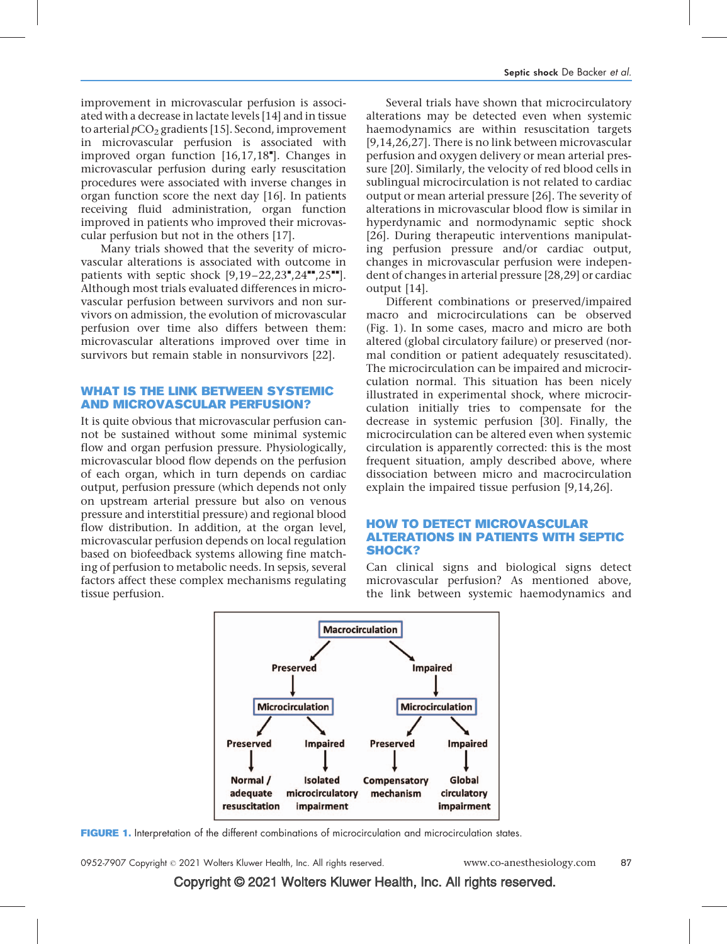improvement in microvascular perfusion is associated with a decrease in lactate levels [\[14\]](#page-5-0) and in tissue to arterial  $pCO<sub>2</sub>$  gradients [\[15\].](#page-5-0) Second, improvement in microvascular perfusion is associated with improved organ function [\[16,17,18](#page-5-0)"[\]](#page-5-0). Changes in microvascular perfusion during early resuscitation procedures were associated with inverse changes in organ function score the next day [\[16\].](#page-5-0) In patients receiving fluid administration, organ function improved in patients who improved their microvascular perfusion but not in the others [\[17\].](#page-5-0)

Many trials showed that the severity of microvascular alterations is associated with outcome in patients with septic shock  $[9,19-22,23",24",25"$  $[9,19-22,23",24",25"$  $[9,19-22,23",24",25"$  $[9,19-22,23",24",25"$  $[9,19-22,23",24",25"$ [\]](#page-5-0). Although most trials evaluated differences in microvascular perfusion between survivors and non survivors on admission, the evolution of microvascular perfusion over time also differs between them: microvascular alterations improved over time in survivors but remain stable in nonsurvivors [\[22\]](#page-5-0).

## WHAT IS THE LINK BETWEEN SYSTEMIC AND MICROVASCULAR PERFUSION?

It is quite obvious that microvascular perfusion cannot be sustained without some minimal systemic flow and organ perfusion pressure. Physiologically, microvascular blood flow depends on the perfusion of each organ, which in turn depends on cardiac output, perfusion pressure (which depends not only on upstream arterial pressure but also on venous pressure and interstitial pressure) and regional blood flow distribution. In addition, at the organ level, microvascular perfusion depends on local regulation based on biofeedback systems allowing fine matching of perfusion to metabolic needs. In sepsis, several factors affect these complex mechanisms regulating tissue perfusion.

Several trials have shown that microcirculatory alterations may be detected even when systemic haemodynamics are within resuscitation targets [\[9,14,26,27\]](#page-5-0). There is no link between microvascular perfusion and oxygen delivery or mean arterial pressure [\[20\]](#page-5-0). Similarly, the velocity of red blood cells in sublingual microcirculation is not related to cardiac output or mean arterial pressure [\[26\].](#page-5-0) The severity of alterations in microvascular blood flow is similar in hyperdynamic and normodynamic septic shock [\[26\].](#page-5-0) During therapeutic interventions manipulating perfusion pressure and/or cardiac output, changes in microvascular perfusion were independent of changes in arterial pressure [\[28,29\]](#page-5-0) or cardiac output [\[14\]](#page-5-0).

Different combinations or preserved/impaired macro and microcirculations can be observed (Fig. 1). In some cases, macro and micro are both altered (global circulatory failure) or preserved (normal condition or patient adequately resuscitated). The microcirculation can be impaired and microcirculation normal. This situation has been nicely illustrated in experimental shock, where microcirculation initially tries to compensate for the decrease in systemic perfusion [\[30\]](#page-5-0). Finally, the microcirculation can be altered even when systemic circulation is apparently corrected: this is the most frequent situation, amply described above, where dissociation between micro and macrocirculation explain the impaired tissue perfusion [\[9,14,26\]](#page-5-0).

## HOW TO DETECT MICROVASCULAR ALTERATIONS IN PATIENTS WITH SEPTIC SHOCK?

Can clinical signs and biological signs detect microvascular perfusion? As mentioned above, the link between systemic haemodynamics and



FIGURE 1. Interpretation of the different combinations of microcirculation and microcirculation states.

0952-7907 Copyright © 2021 Wolters Kluwer Health, Inc. All rights reserved. www.co-anesthesiology.com 87

Copyright © 2021 Wolters Kluwer Health, Inc. All rights reserved.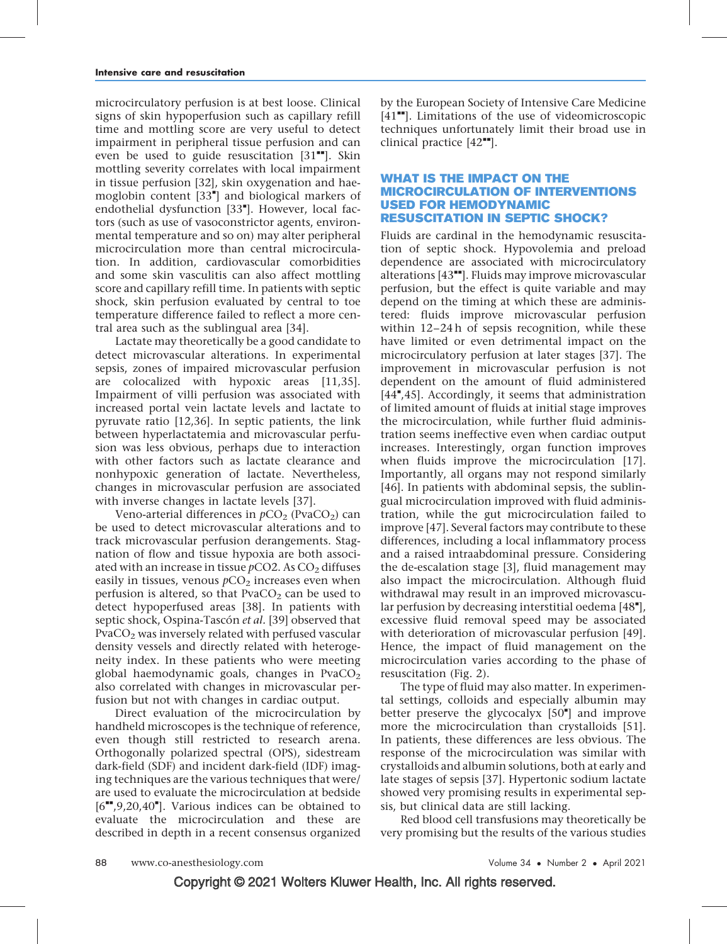microcirculatory perfusion is at best loose. Clinical signs of skin hypoperfusion such as capillary refill time and mottling score are very useful to detect impairment in peripheral tissue perfusion and can even be used to guide resuscitation  $[31$ <sup>-</sup>. Skin mottling severity correlates with local impairment in tissue perfusion [\[32\],](#page-5-0) skin oxygenation and hae-moglobin content [\[33](#page-5-0)"[\]](#page-5-0) and biological markers of endothelial dysfunction [\[33](#page-5-0)"[\].](#page-5-0) However, local factors (such as use of vasoconstrictor agents, environmental temperature and so on) may alter peripheral microcirculation more than central microcirculation. In addition, cardiovascular comorbidities and some skin vasculitis can also affect mottling score and capillary refill time. In patients with septic shock, skin perfusion evaluated by central to toe temperature difference failed to reflect a more central area such as the sublingual area [\[34\].](#page-5-0)

Lactate may theoretically be a good candidate to detect microvascular alterations. In experimental sepsis, zones of impaired microvascular perfusion are colocalized with hypoxic areas [\[11,35\].](#page-5-0) Impairment of villi perfusion was associated with increased portal vein lactate levels and lactate to pyruvate ratio [\[12,36\].](#page-5-0) In septic patients, the link between hyperlactatemia and microvascular perfusion was less obvious, perhaps due to interaction with other factors such as lactate clearance and nonhypoxic generation of lactate. Nevertheless, changes in microvascular perfusion are associated with inverse changes in lactate levels [\[37\].](#page-5-0)

Veno-arterial differences in  $pCO_2$  (PvaCO<sub>2</sub>) can be used to detect microvascular alterations and to track microvascular perfusion derangements. Stagnation of flow and tissue hypoxia are both associated with an increase in tissue  $pCO2$ . As  $CO<sub>2</sub>$  diffuses easily in tissues, venous  $pCO<sub>2</sub>$  increases even when perfusion is altered, so that  $PvaCO<sub>2</sub>$  can be used to detect hypoperfused areas [\[38\]](#page-6-0). In patients with septic shock, Ospina-Tascón et al. [\[39\]](#page-6-0) observed that  $PvaCO<sub>2</sub>$  was inversely related with perfused vascular density vessels and directly related with heterogeneity index. In these patients who were meeting global haemodynamic goals, changes in  $PvaCO<sub>2</sub>$ also correlated with changes in microvascular perfusion but not with changes in cardiac output.

Direct evaluation of the microcirculation by handheld microscopes is the technique of reference, even though still restricted to research arena. Orthogonally polarized spectral (OPS), sidestream dark-field (SDF) and incident dark-field (IDF) imaging techniques are the various techniques that were/ are used to evaluate the microcirculation at bedside  $[6"$  $[6"$ [,9,20,40](#page-5-0)"[\]](#page-5-0). Various indices can be obtained to evaluate the microcirculation and these are described in depth in a recent consensus organized

by the European Society of Intensive Care Medicine  $[41$ <sup> $H$ </sup>. Limitations of the use of videomicroscopic techniques unfortunately limit their broad use in clinical practice  $[42$ <sup> $\text{...}$ </sup>[\]](#page-6-0).

## WHAT IS THE IMPACT ON THE MICROCIRCULATION OF INTERVENTIONS USED FOR HEMODYNAMIC RESUSCITATION IN SEPTIC SHOCK?

Fluids are cardinal in the hemodynamic resuscitation of septic shock. Hypovolemia and preload dependence are associated with microcirculatory alterations [\[43](#page-6-0)"[\].](#page-6-0) Fluids may improve microvascular perfusion, but the effect is quite variable and may depend on the timing at which these are administered: fluids improve microvascular perfusion within 12–24 h of sepsis recognition, while these have limited or even detrimental impact on the microcirculatory perfusion at later stages [\[37\].](#page-5-0) The improvement in microvascular perfusion is not dependent on the amount of fluid administered [\[44](#page-6-0)"[,45\].](#page-6-0) Accordingly, it seems that administration of limited amount of fluids at initial stage improves the microcirculation, while further fluid administration seems ineffective even when cardiac output increases. Interestingly, organ function improves when fluids improve the microcirculation [\[17\]](#page-5-0). Importantly, all organs may not respond similarly [\[46\].](#page-6-0) In patients with abdominal sepsis, the sublingual microcirculation improved with fluid administration, while the gut microcirculation failed to improve [\[47\].](#page-6-0) Several factors may contribute to these differences, including a local inflammatory process and a raised intraabdominal pressure. Considering the de-escalation stage [\[3\]](#page-5-0), fluid management may also impact the microcirculation. Although fluid withdrawal may result in an improved microvascu-lar perfusion by decreasing interstitial oedema [\[48](#page-6-0)"[\]](#page-6-0), excessive fluid removal speed may be associated with deterioration of microvascular perfusion [\[49\]](#page-6-0). Hence, the impact of fluid management on the microcirculation varies according to the phase of resuscitation (Fig. 2).

The type of fluid may also matter. In experimental settings, colloids and especially albumin may better preserve the glycocalyx  $[50<sup>*</sup>]$  $[50<sup>*</sup>]$  $[50<sup>*</sup>]$  and improve more the microcirculation than crystalloids [\[51\]](#page-6-0). In patients, these differences are less obvious. The response of the microcirculation was similar with crystalloids and albumin solutions, both at early and late stages of sepsis [\[37\]](#page-5-0). Hypertonic sodium lactate showed very promising results in experimental sepsis, but clinical data are still lacking.

Red blood cell transfusions may theoretically be very promising but the results of the various studies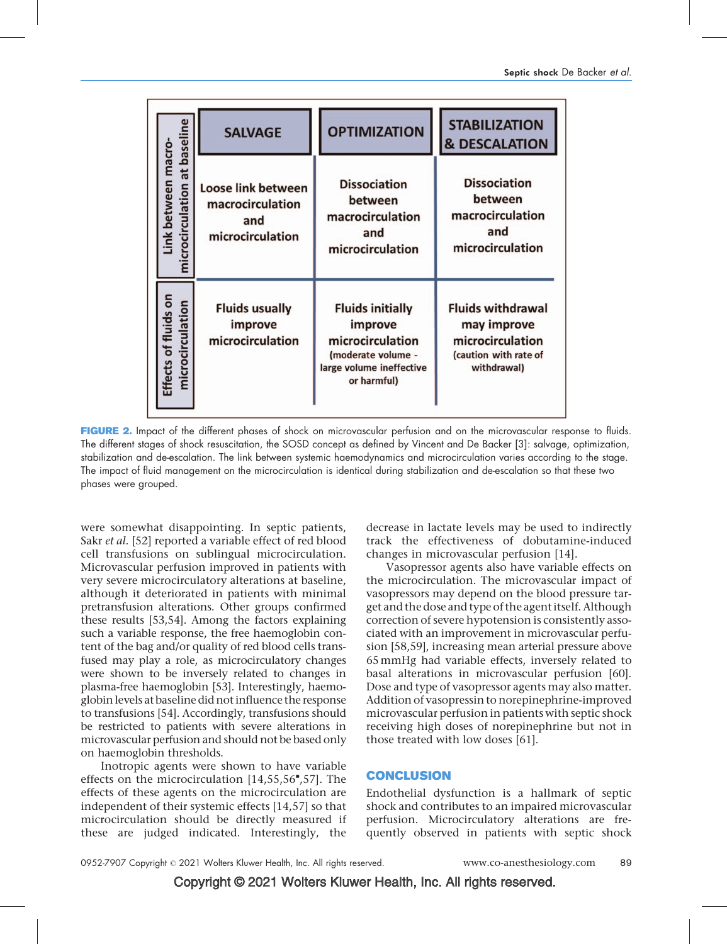|                                                     | <b>SALVAGE</b>                                                           | <b>OPTIMIZATION</b>                                                                                                     | <b>STABILIZATION</b><br><b>&amp; DESCALATION</b>                                                    |
|-----------------------------------------------------|--------------------------------------------------------------------------|-------------------------------------------------------------------------------------------------------------------------|-----------------------------------------------------------------------------------------------------|
| microcirculation at baseline<br>Link between macro- | <b>Loose link between</b><br>macrocirculation<br>and<br>microcirculation | <b>Dissociation</b><br>between<br>macrocirculation<br>and<br>microcirculation                                           | <b>Dissociation</b><br>between<br>macrocirculation<br>and<br>microcirculation                       |
| Effects of fluids on<br>microcirculation            | <b>Fluids usually</b><br>improve<br>microcirculation                     | <b>Fluids initially</b><br>improve<br>microcirculation<br>(moderate volume -<br>large volume ineffective<br>or harmful) | <b>Fluids withdrawal</b><br>may improve<br>microcirculation<br>(caution with rate of<br>withdrawal) |

FIGURE 2. Impact of the different phases of shock on microvascular perfusion and on the microvascular response to fluids. The different stages of shock resuscitation, the SOSD concept as defined by Vincent and De Backer [\[3\]:](#page-5-0) salvage, optimization, stabilization and de-escalation. The link between systemic haemodynamics and microcirculation varies according to the stage. The impact of fluid management on the microcirculation is identical during stabilization and de-escalation so that these two phases were grouped.

were somewhat disappointing. In septic patients, Sakr *et al.* [\[52\]](#page-6-0) reported a variable effect of red blood cell transfusions on sublingual microcirculation. Microvascular perfusion improved in patients with very severe microcirculatory alterations at baseline, although it deteriorated in patients with minimal pretransfusion alterations. Other groups confirmed these results [\[53,54\]](#page-6-0). Among the factors explaining such a variable response, the free haemoglobin content of the bag and/or quality of red blood cells transfused may play a role, as microcirculatory changes were shown to be inversely related to changes in plasma-free haemoglobin [\[53\].](#page-6-0) Interestingly, haemoglobin levels at baseline did not influence the response to transfusions [\[54\]](#page-6-0). Accordingly, transfusions should be restricted to patients with severe alterations in microvascular perfusion and should not be based only on haemoglobin thresholds.

Inotropic agents were shown to have variable effects on the microcirculation  $[14,55,56^\texttt{''},57]$  $[14,55,56^\texttt{''},57]$ . The effects of these agents on the microcirculation are independent of their systemic effects [\[14,57\]](#page-5-0) so that microcirculation should be directly measured if these are judged indicated. Interestingly, the

decrease in lactate levels may be used to indirectly track the effectiveness of dobutamine-induced changes in microvascular perfusion [\[14\].](#page-5-0)

Vasopressor agents also have variable effects on the microcirculation. The microvascular impact of vasopressors may depend on the blood pressure target and the dose and type of the agent itself. Although correction of severe hypotension is consistently associated with an improvement in microvascular perfusion [\[58,59\],](#page-6-0) increasing mean arterial pressure above 65mmHg had variable effects, inversely related to basal alterations in microvascular perfusion [\[60\]](#page-6-0). Dose and type of vasopressor agents may also matter. Addition of vasopressin to norepinephrine-improved microvascular perfusion in patients with septic shock receiving high doses of norepinephrine but not in those treated with low doses [\[61\]](#page-6-0).

## **CONCLUSION**

Endothelial dysfunction is a hallmark of septic shock and contributes to an impaired microvascular perfusion. Microcirculatory alterations are frequently observed in patients with septic shock

Copyright © 2021 Wolters Kluwer Health, Inc. All rights reserved.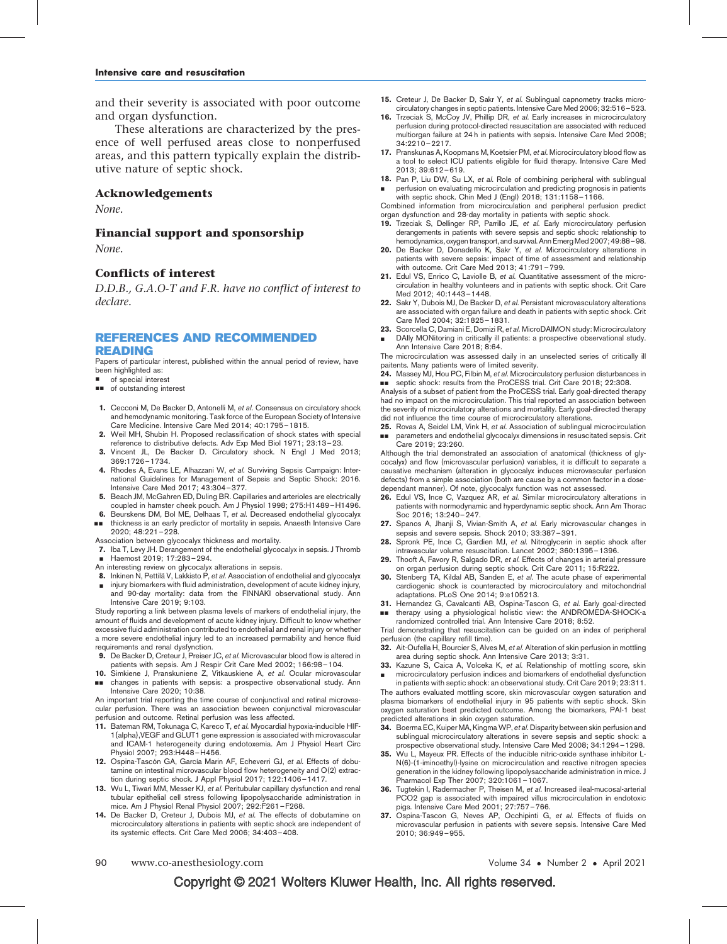<span id="page-5-0"></span>and their severity is associated with poor outcome and organ dysfunction.

These alterations are characterized by the presence of well perfused areas close to nonperfused areas, and this pattern typically explain the distributive nature of septic shock.

#### Acknowledgements

None.

#### Financial support and sponsorship

None.

#### Conflicts of interest

D.D.B., G.A.O-T and F.R. have no conflict of interest to declare.

## REFERENCES AND RECOMMENDED READING

Papers of particular interest, published within the annual period of review, have been highlighted as:

- of special interest
- $\blacksquare$  of outstanding interest
- 1. Cecconi M, De Backer D, Antonelli M, et al. Consensus on circulatory shock and hemodynamic monitoring. Task force of the European Society of Intensive Care Medicine. Intensive Care Med 2014; 40:1795–1815.
- 2. Weil MH, Shubin H. Proposed reclassification of shock states with special reference to distributive defects. Adv Exp Med Biol 1971; 23:13–23.
- 3. Vincent JL, De Backer D. Circulatory shock. N Engl J Med 2013; 369:1726–1734.
- 4. Rhodes A, Evans LE, Alhazzani W, et al. Surviving Sepsis Campaign: International Guidelines for Management of Sepsis and Septic Shock: 2016. Intensive Care Med 2017; 43:304–377.
- 5. Beach JM, McGahren ED, Duling BR. Capillaries and arterioles are electrically coupled in hamster cheek pouch. Am J Physiol 1998; 275:H1489–H1496.
- 6. && Beurskens DM, Bol ME, Delhaas T, et al. Decreased endothelial glycocalyx thickness is an early predictor of mortality in sepsis. Anaesth Intensive Care 2020; 48:221–228.
- Association between glycocalyx thickness and mortality.
- 7. Iba T, Levy JH. Derangement of the endothelial glycocalyx in sepsis. J Thromb
- & Haemost 2019; 17:283–294.
- An interesting review on glycocalyx alterations in sepsis.
- 8. Inkinen N, Pettilä V, Lakkisto P, et al. Association of endothelial and glycocalyx & injury biomarkers with fluid administration, development of acute kidney injury,
- and 90-day mortality: data from the FINNAKI observational study. Ann Intensive Care 2019; 9:103. Study reporting a link between plasma levels of markers of endothelial injury, the

amount of fluids and development of acute kidney injury. Difficult to know whether excessive fluid administration contributed to endothelial and renal injury or whether a more severe endothelial injury led to an increased permability and hence fluid

- requirements and renal dysfynction.<br>**9.** De Backer D, Creteur J, Preiser JC, e*t al.* Microvascular blood flow is altered in patients with sepsis. Am J Respir Crit Care Med 2002; 166:98–104.
- 10. && Simkiene J, Pranskuniene Z, Vitkauskiene A, et al. Ocular microvascular changes in patients with sepsis: a prospective observational study. Ann Intensive Care 2020; 10:38.

An important trial reporting the time course of conjunctival and retinal microvascular perfusion. There was an association beween conjunctival microvascular perfusion and outcome. Retinal perfusion was less affected.

- 11. Bateman RM, Tokunaga C, Kareco T, et al. Myocardial hypoxia-inducible HIF-1{alpha},VEGF and GLUT1 gene expression is associated with microvascular and ICAM-1 heterogeneity during endotoxemia. Am J Physiol Heart Circ Physiol 2007; 293:H448–H456.
- 12. Ospina-Tascón GA, García Marin AF, Echeverri GJ, et al. Effects of dobutamine on intestinal microvascular blood flow heterogeneity and O(2) extraction during septic shock. J Appl Physiol 2017; 122:1406–1417.
- 13. Wu L, Tiwari MM, Messer KJ, et al. Peritubular capillary dysfunction and renal tubular epithelial cell stress following lipopolysaccharide administration in mice. Am J Physiol Renal Physiol 2007; 292:F261–F268.
- 14. De Backer D, Creteur J, Dubois MJ, et al. The effects of dobutamine on microcirculatory alterations in patients with septic shock are independent of its systemic effects. Crit Care Med 2006; 34:403–408.
- 15. Creteur J, De Backer D, Sakr Y, et al. Sublingual capnometry tracks microcirculatory changes in septic patients. Intensive Care Med 2006; 32:516–523. 16. Trzeciak S, McCoy JV, Phillip DR, et al. Early increases in microcirculatory
- perfusion during protocol-directed resuscitation are associated with reduced multiorgan failure at 24 h in patients with sepsis. Intensive Care Med 2008; 34:2210–2217.
- 17. Pranskunas A, Koopmans M, Koetsier PM, et al. Microcirculatory blood flow as a tool to select ICU patients eligible for fluid therapy. Intensive Care Med 2013; 39:612–619.
- 18. Pan P, Liu DW, Su LX, et al. Role of combining peripheral with sublingual & perfusion on evaluating microcirculation and predicting prognosis in patients

with septic shock. Chin Med J (Engl) 2018; 131:1158–1166. Combined information from microcirculation and peripheral perfusion predict organ dysfunction and 28-day mortality in patients with septic shock.

- 19. Trzeciak S, Dellinger RP, Parrillo JE, et al. Early microcirculatory perfusion derangements in patients with severe sepsis and septic shock: relationship to hemodynamics, oxygen transport, and survival. Ann Emerg Med 2007; 49:88-98.
- 20. De Backer D, Donadello K, Sakr Y, et al. Microcirculatory alterations in patients with severe sepsis: impact of time of assessment and relationship with outcome. Crit Care Med 2013; 41:791–799.
- 21. Edul VS, Enrico C, Laviolle B, et al. Quantitative assessment of the microcirculation in healthy volunteers and in patients with septic shock. Crit Care Med 2012; 40:1443–1448.
- 22. Sakr Y, Dubois MJ, De Backer D, et al. Persistant microvasculatory alterations are associated with organ failure and death in patients with septic shock. Crit Care Med 2004; 32:1825–1831.
- 23. Scorcella C, Damiani E, Domizi R, et al. MicroDAIMON study: Microcirculatory
- & DAIly MONitoring in critically ill patients: a prospective observational study. Ann Intensive Care 2018; 8:64.

The microcirculation was assessed daily in an unselected series of critically ill paitents. Many patients were of limited severity.

24. Massey MJ, Hou PC, Filbin M, et al. Microcirculatory perfusion disturbances in ■■ septic shock: results from the ProCESS trial. Crit Care 2018; 22:308.

Analysis of a subset of patient from the ProCESS trial. Early goal-directed therapy had no impact on the microcirculation. This trial reported an association between the severity of microcirulatory alterations and mortality. Early goal-directed therapy did not influence the time course of microcirculatory alterations.

25. Rovas A, Seidel LM, Vink H, et al. Association of sublingual microcirculation && parameters and endothelial glycocalyx dimensions in resuscitated sepsis. Crit Care 2019; 23:260.

Although the trial demonstrated an association of anatomical (thickness of glycocalyx) and flow (microvascular perfusion) variables, it is difficult to separate a causative mechanism (alteration in glycocalyx induces microvascular perfusion defects) from a simple association (both are cause by a common factor in a dosedependant manner). Of note, glycocalyx function was not assessed.

- 26. Edul VS, Ince C, Vazquez AR, et al. Similar microcirculatory alterations in patients with normodynamic and hyperdynamic septic shock. Ann Am Thorac Soc 2016; 13:240–247.
- 27. Spanos A, Jhanji S, Vivian-Smith A, et al. Early microvascular changes in sepsis and severe sepsis. Shock 2010; 33:387–391.
- 28. Spronk PE, Ince C, Gardien MJ, et al. Nitroglycerin in septic shock after intravascular volume resuscitation. Lancet 2002; 360:1395–1396.
- 29. Thooft A, Favory R, Salgado DR, et al. Effects of changes in arterial pressure on organ perfusion during septic shock. Crit Care 2011; 15:R222.
- **30.** Stenberg TA, Kildal AB, Sanden E, et al. The acute phase of experimental cardiogenic shock is counteracted by microcirculatory and mitochondrial adaptations. PLoS One 2014; 9:e105213.
- 31. Hernandez G, Cavalcanti AB, Ospina-Tascon G, et al. Early goal-directed && therapy using a physiological holistic view: the ANDROMEDA-SHOCK-a
- randomized controlled trial. Ann Intensive Care 2018; 8:52.

Trial demonstrating that resuscitation can be guided on an index of peripheral perfusion (the capillary refill time).

- 32. Ait-Oufella H, Bourcier S, Alves M, et al. Alteration of skin perfusion in mottling area during septic shock. Ann Intensive Care 2013; 3:31.
- 33. Kazune S, Caica A, Volceka K, et al. Relationship of mottling score, skin & microcirculatory perfusion indices and biomarkers of endothelial dysfunction

in patients with septic shock: an observational study. Crit Care 2019; 23:311. The authors evaluated mottling score, skin microvascular oxygen saturation and plasma biomarkers of endothelial injury in 95 patients with septic shock. Skin oxygen saturation best predicted outcome. Among the biomarkers, PAI-1 best predicted alterations in skin oxygen saturation.

- 34. Boerma EC, Kuiper MA, Kingma WP, et al. Disparity between skin perfusion and sublingual microcirculatory alterations in severe sepsis and septic shock: a
- prospective observational study. Intensive Care Med 2008; 34:1294–1298. 35. Wu L, Mayeux PR. Effects of the inducible nitric-oxide synthase inhibitor L-N(6)-(1-iminoethyl)-lysine on microcirculation and reactive nitrogen species generation in the kidney following lipopolysaccharide administration in mice. J Pharmacol Exp Ther 2007; 320:1061–1067.
- Tugtekin I, Radermacher P, Theisen M, et al. Increased ileal-mucosal-arterial PCO2 gap is associated with impaired villus microcirculation in endotoxic pigs. Intensive Care Med 2001; 27:757–766.
- 37. Ospina-Tascon G, Neves AP, Occhipinti G, et al. Effects of fluids on microvascular perfusion in patients with severe sepsis. Intensive Care Med 2010; 36:949–955.

• Number 2 • April 2021